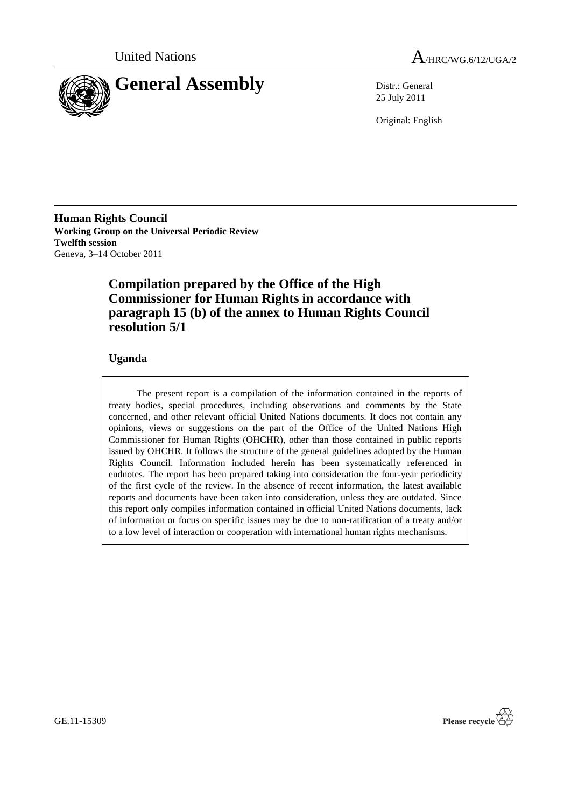



25 July 2011

Original: English

**Human Rights Council Working Group on the Universal Periodic Review Twelfth session** Geneva, 3–14 October 2011

## **Compilation prepared by the Office of the High Commissioner for Human Rights in accordance with paragraph 15 (b) of the annex to Human Rights Council resolution 5/1**

### **Uganda**

The present report is a compilation of the information contained in the reports of treaty bodies, special procedures, including observations and comments by the State concerned, and other relevant official United Nations documents. It does not contain any opinions, views or suggestions on the part of the Office of the United Nations High Commissioner for Human Rights (OHCHR), other than those contained in public reports issued by OHCHR. It follows the structure of the general guidelines adopted by the Human Rights Council. Information included herein has been systematically referenced in endnotes. The report has been prepared taking into consideration the four-year periodicity of the first cycle of the review. In the absence of recent information, the latest available reports and documents have been taken into consideration, unless they are outdated. Since this report only compiles information contained in official United Nations documents, lack of information or focus on specific issues may be due to non-ratification of a treaty and/or to a low level of interaction or cooperation with international human rights mechanisms.

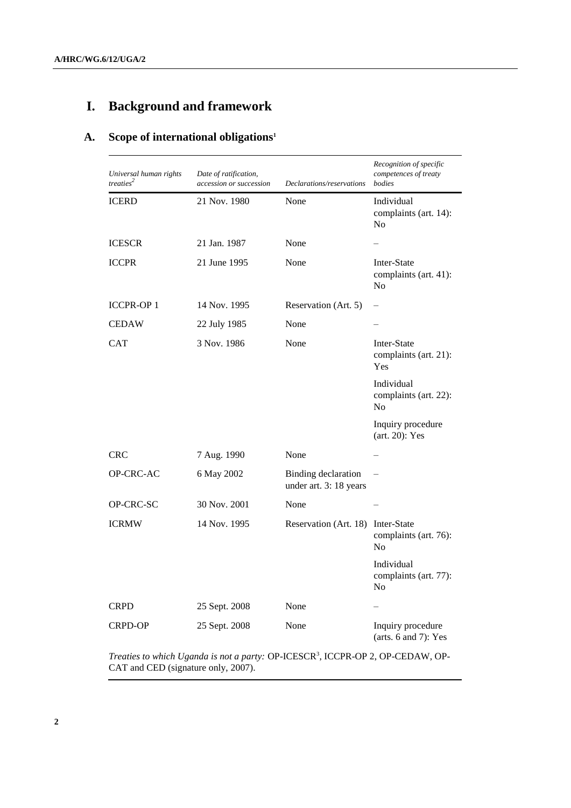# **I. Background and framework**

## **A. Scope of international obligations<sup>1</sup>**

| Universal human rights<br>treaties <sup>2</sup> | Date of ratification,<br>accession or succession | Declarations/reservations                     | Recognition of specific<br>competences of treaty<br>bodies |
|-------------------------------------------------|--------------------------------------------------|-----------------------------------------------|------------------------------------------------------------|
| <b>ICERD</b>                                    | 21 Nov. 1980                                     | None                                          | Individual<br>complaints (art. 14):<br>N <sub>0</sub>      |
| <b>ICESCR</b>                                   | 21 Jan. 1987                                     | None                                          |                                                            |
| <b>ICCPR</b>                                    | 21 June 1995                                     | None                                          | Inter-State<br>complaints (art. 41):<br>N <sub>0</sub>     |
| <b>ICCPR-OP1</b>                                | 14 Nov. 1995                                     | Reservation (Art. 5)                          |                                                            |
| <b>CEDAW</b>                                    | 22 July 1985                                     | None                                          |                                                            |
| <b>CAT</b>                                      | 3 Nov. 1986                                      | None                                          | Inter-State<br>complaints (art. 21):<br>Yes                |
|                                                 |                                                  |                                               | Individual<br>complaints (art. 22):<br>N <sub>0</sub>      |
|                                                 |                                                  |                                               | Inquiry procedure<br>$(art. 20)$ : Yes                     |
| <b>CRC</b>                                      | 7 Aug. 1990                                      | None                                          |                                                            |
| OP-CRC-AC                                       | 6 May 2002                                       | Binding declaration<br>under art. 3: 18 years |                                                            |
| OP-CRC-SC                                       | 30 Nov. 2001                                     | None                                          |                                                            |
| <b>ICRMW</b>                                    | 14 Nov. 1995                                     | Reservation (Art. 18) Inter-State             | complaints (art. 76):<br>N <sub>0</sub>                    |
|                                                 |                                                  |                                               | Individual<br>complaints (art. 77):<br>N <sub>0</sub>      |
| <b>CRPD</b>                                     | 25 Sept. 2008                                    | None                                          |                                                            |
| <b>CRPD-OP</b>                                  | 25 Sept. 2008                                    | None                                          | Inquiry procedure<br>(arts. 6 and 7): Yes                  |

Treaties to which Uganda is not a party: OP-ICESCR<sup>3</sup>, ICCPR-OP 2, OP-CEDAW, OP-CAT and CED (signature only, 2007).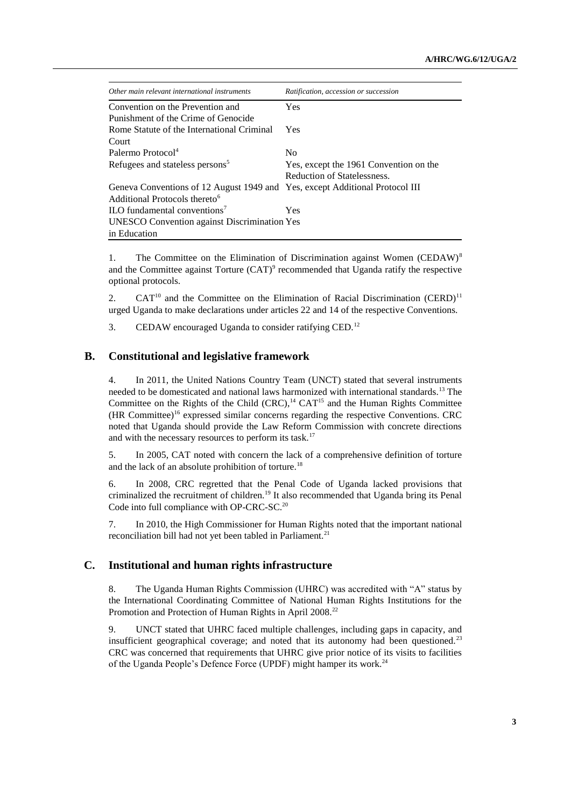| Other main relevant international instruments                                | Ratification, accession or succession  |  |
|------------------------------------------------------------------------------|----------------------------------------|--|
| Convention on the Prevention and                                             | <b>Yes</b>                             |  |
| Punishment of the Crime of Genocide                                          |                                        |  |
| Rome Statute of the International Criminal                                   | <b>Yes</b>                             |  |
| Court                                                                        |                                        |  |
| Palermo Protocol <sup>4</sup>                                                | N <sub>0</sub>                         |  |
| Refugees and stateless persons <sup>5</sup>                                  | Yes, except the 1961 Convention on the |  |
|                                                                              | Reduction of Statelessness.            |  |
| Geneva Conventions of 12 August 1949 and Yes, except Additional Protocol III |                                        |  |
| Additional Protocols thereto <sup>6</sup>                                    |                                        |  |
| ILO fundamental conventions <sup>7</sup>                                     | Yes.                                   |  |
| <b>UNESCO</b> Convention against Discrimination Yes                          |                                        |  |
| in Education                                                                 |                                        |  |

1. The Committee on the Elimination of Discrimination against Women (CEDAW)<sup>8</sup> and the Committee against Torture  $(CAT)^9$  recommended that Uganda ratify the respective optional protocols.

2. CAT<sup>10</sup> and the Committee on the Elimination of Racial Discrimination (CERD)<sup>11</sup> urged Uganda to make declarations under articles 22 and 14 of the respective Conventions.

3. CEDAW encouraged Uganda to consider ratifying CED.<sup>12</sup>

### **B. Constitutional and legislative framework**

4. In 2011, the United Nations Country Team (UNCT) stated that several instruments needed to be domesticated and national laws harmonized with international standards.<sup>13</sup> The Committee on the Rights of the Child  $(CRC)$ ,<sup>14</sup> CAT<sup>15</sup> and the Human Rights Committee  $(HR$  Committee)<sup>16</sup> expressed similar concerns regarding the respective Conventions. CRC noted that Uganda should provide the Law Reform Commission with concrete directions and with the necessary resources to perform its task.<sup>17</sup>

5. In 2005, CAT noted with concern the lack of a comprehensive definition of torture and the lack of an absolute prohibition of torture.<sup>18</sup>

6. In 2008, CRC regretted that the Penal Code of Uganda lacked provisions that criminalized the recruitment of children.<sup>19</sup> It also recommended that Uganda bring its Penal Code into full compliance with OP-CRC-SC.<sup>20</sup>

7. In 2010, the High Commissioner for Human Rights noted that the important national reconciliation bill had not yet been tabled in Parliament.<sup>21</sup>

### **C. Institutional and human rights infrastructure**

8. The Uganda Human Rights Commission (UHRC) was accredited with "A" status by the International Coordinating Committee of National Human Rights Institutions for the Promotion and Protection of Human Rights in April 2008.<sup>22</sup>

9. UNCT stated that UHRC faced multiple challenges, including gaps in capacity, and insufficient geographical coverage; and noted that its autonomy had been questioned.<sup>23</sup> CRC was concerned that requirements that UHRC give prior notice of its visits to facilities of the Uganda People's Defence Force (UPDF) might hamper its work.<sup>24</sup>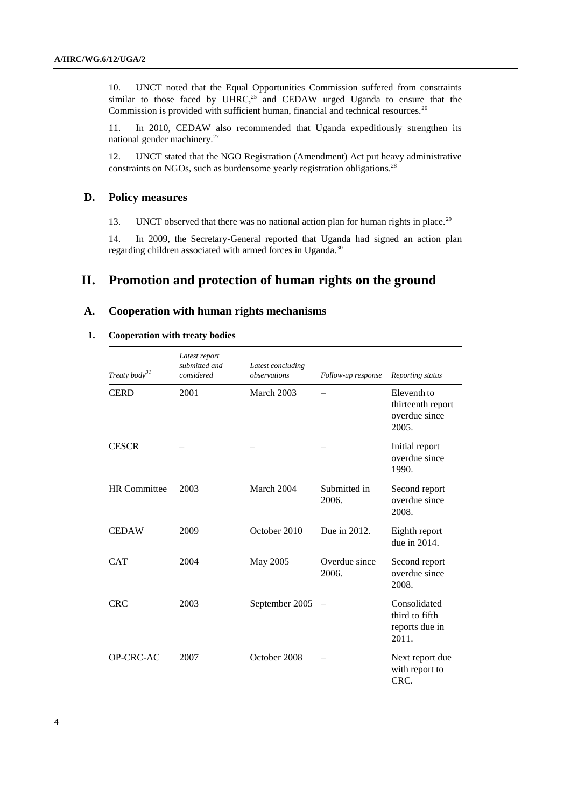10. UNCT noted that the Equal Opportunities Commission suffered from constraints similar to those faced by UHRC,<sup>25</sup> and CEDAW urged Uganda to ensure that the Commission is provided with sufficient human, financial and technical resources.<sup>26</sup>

11. In 2010, CEDAW also recommended that Uganda expeditiously strengthen its national gender machinery.<sup>27</sup>

12. UNCT stated that the NGO Registration (Amendment) Act put heavy administrative constraints on NGOs, such as burdensome yearly registration obligations.<sup>28</sup>

### **D. Policy measures**

13. UNCT observed that there was no national action plan for human rights in place.<sup>29</sup>

14. In 2009, the Secretary-General reported that Uganda had signed an action plan regarding children associated with armed forces in Uganda.<sup>30</sup>

## **II. Promotion and protection of human rights on the ground**

### **A. Cooperation with human rights mechanisms**

### **1. Cooperation with treaty bodies**

| Treaty body <sup>31</sup> | Latest report<br>submitted and<br>considered | Latest concluding<br>observations | Follow-up response     | Reporting status                                           |
|---------------------------|----------------------------------------------|-----------------------------------|------------------------|------------------------------------------------------------|
| <b>CERD</b>               | 2001                                         | March 2003                        |                        | Eleventh to<br>thirteenth report<br>overdue since<br>2005. |
| <b>CESCR</b>              |                                              |                                   |                        | Initial report<br>overdue since<br>1990.                   |
| <b>HR</b> Committee       | 2003                                         | March 2004                        | Submitted in<br>2006.  | Second report<br>overdue since<br>2008.                    |
| <b>CEDAW</b>              | 2009                                         | October 2010                      | Due in 2012.           | Eighth report<br>due in 2014.                              |
| <b>CAT</b>                | 2004                                         | May 2005                          | Overdue since<br>2006. | Second report<br>overdue since<br>2008.                    |
| <b>CRC</b>                | 2003                                         | September 2005                    |                        | Consolidated<br>third to fifth<br>reports due in<br>2011.  |
| OP-CRC-AC                 | 2007                                         | October 2008                      |                        | Next report due<br>with report to<br>CRC.                  |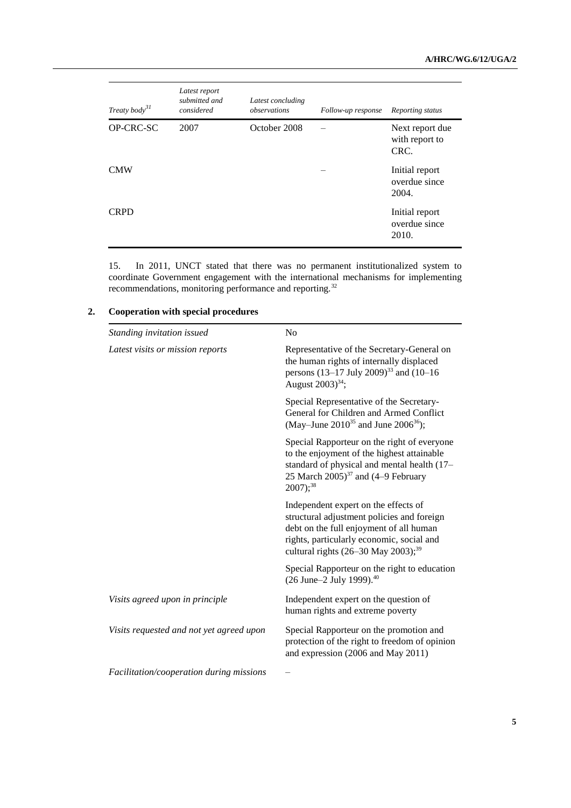| Treaty body <sup>31</sup> | Latest report<br>submitted and<br>considered | Latest concluding<br><i>observations</i> | Follow-up response | Reporting status                          |
|---------------------------|----------------------------------------------|------------------------------------------|--------------------|-------------------------------------------|
| OP-CRC-SC                 | 2007                                         | October 2008                             |                    | Next report due<br>with report to<br>CRC. |
| <b>CMW</b>                |                                              |                                          |                    | Initial report<br>overdue since<br>2004.  |
| <b>CRPD</b>               |                                              |                                          |                    | Initial report<br>overdue since<br>2010.  |

15. In 2011, UNCT stated that there was no permanent institutionalized system to coordinate Government engagement with the international mechanisms for implementing recommendations, monitoring performance and reporting.<sup>32</sup>

| Standing invitation issued               | N <sub>0</sub>                                                                                                                                                                                                                     |
|------------------------------------------|------------------------------------------------------------------------------------------------------------------------------------------------------------------------------------------------------------------------------------|
| Latest visits or mission reports         | Representative of the Secretary-General on<br>the human rights of internally displaced<br>persons $(13-17 \text{ July } 2009)^{33}$ and $(10-16$<br>August 2003) <sup>34</sup> ;                                                   |
|                                          | Special Representative of the Secretary-<br>General for Children and Armed Conflict<br>(May–June $2010^{35}$ and June $2006^{36}$ );                                                                                               |
|                                          | Special Rapporteur on the right of everyone<br>to the enjoyment of the highest attainable<br>standard of physical and mental health (17-<br>25 March $2005$ <sup>37</sup> and (4–9 February<br>$2007$ ; <sup>38</sup>              |
|                                          | Independent expert on the effects of<br>structural adjustment policies and foreign<br>debt on the full enjoyment of all human<br>rights, particularly economic, social and<br>cultural rights $(26-30$ May $2003)$ ; <sup>39</sup> |
|                                          | Special Rapporteur on the right to education<br>(26 June-2 July 1999). <sup>40</sup>                                                                                                                                               |
| Visits agreed upon in principle          | Independent expert on the question of<br>human rights and extreme poverty                                                                                                                                                          |
| Visits requested and not yet agreed upon | Special Rapporteur on the promotion and<br>protection of the right to freedom of opinion<br>and expression (2006 and May 2011)                                                                                                     |
| Facilitation/cooperation during missions |                                                                                                                                                                                                                                    |

### **2. Cooperation with special procedures**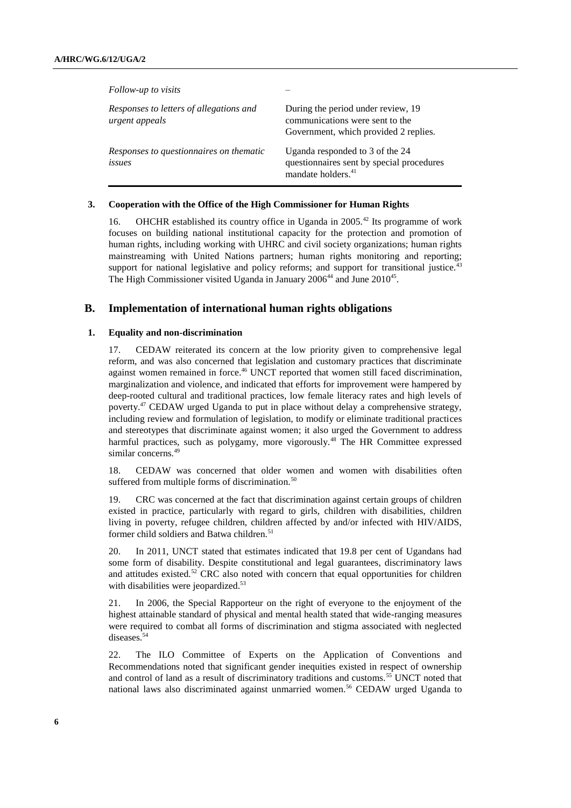| Follow-up to visits                                       |                                                                                                                |
|-----------------------------------------------------------|----------------------------------------------------------------------------------------------------------------|
| Responses to letters of allegations and<br>urgent appeals | During the period under review, 19<br>communications were sent to the<br>Government, which provided 2 replies. |
| Responses to questionnaires on thematic<br>issues         | Uganda responded to 3 of the 24<br>questionnaires sent by special procedures<br>mandate holders. <sup>41</sup> |

#### **3. Cooperation with the Office of the High Commissioner for Human Rights**

16. OHCHR established its country office in Uganda in 2005.<sup>42</sup> Its programme of work focuses on building national institutional capacity for the protection and promotion of human rights, including working with UHRC and civil society organizations; human rights mainstreaming with United Nations partners; human rights monitoring and reporting; support for national legislative and policy reforms; and support for transitional justice. $43$ The High Commissioner visited Uganda in January  $2006^{44}$  and June  $2010^{45}$ .

### **B. Implementation of international human rights obligations**

### **1. Equality and non-discrimination**

17. CEDAW reiterated its concern at the low priority given to comprehensive legal reform, and was also concerned that legislation and customary practices that discriminate against women remained in force.<sup>46</sup> UNCT reported that women still faced discrimination, marginalization and violence, and indicated that efforts for improvement were hampered by deep-rooted cultural and traditional practices, low female literacy rates and high levels of poverty.<sup>47</sup> CEDAW urged Uganda to put in place without delay a comprehensive strategy, including review and formulation of legislation, to modify or eliminate traditional practices and stereotypes that discriminate against women; it also urged the Government to address harmful practices, such as polygamy, more vigorously.<sup>48</sup> The HR Committee expressed similar concerns.<sup>49</sup>

18. CEDAW was concerned that older women and women with disabilities often suffered from multiple forms of discrimination.<sup>50</sup>

19. CRC was concerned at the fact that discrimination against certain groups of children existed in practice, particularly with regard to girls, children with disabilities, children living in poverty, refugee children, children affected by and/or infected with HIV/AIDS, former child soldiers and Batwa children.<sup>51</sup>

20. In 2011, UNCT stated that estimates indicated that 19.8 per cent of Ugandans had some form of disability. Despite constitutional and legal guarantees, discriminatory laws and attitudes existed. $52$  CRC also noted with concern that equal opportunities for children with disabilities were jeopardized.<sup>53</sup>

21. In 2006, the Special Rapporteur on the right of everyone to the enjoyment of the highest attainable standard of physical and mental health stated that wide-ranging measures were required to combat all forms of discrimination and stigma associated with neglected diseases.<sup>54</sup>

22. The ILO Committee of Experts on the Application of Conventions and Recommendations noted that significant gender inequities existed in respect of ownership and control of land as a result of discriminatory traditions and customs.<sup>55</sup> UNCT noted that national laws also discriminated against unmarried women.<sup>56</sup> CEDAW urged Uganda to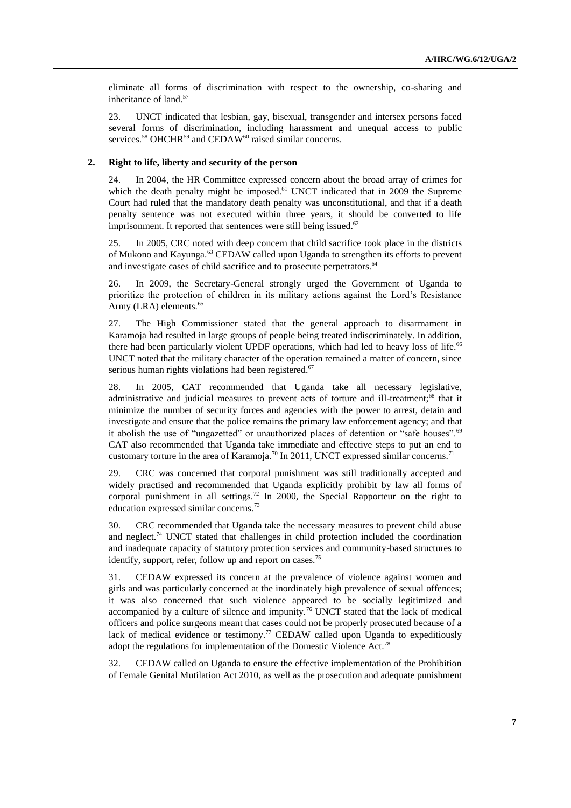eliminate all forms of discrimination with respect to the ownership, co-sharing and inheritance of land.<sup>57</sup>

23. UNCT indicated that lesbian, gay, bisexual, transgender and intersex persons faced several forms of discrimination, including harassment and unequal access to public services.<sup>58</sup> OHCHR<sup>59</sup> and CEDAW<sup>60</sup> raised similar concerns.

#### **2. Right to life, liberty and security of the person**

24. In 2004, the HR Committee expressed concern about the broad array of crimes for which the death penalty might be imposed. $61$  UNCT indicated that in 2009 the Supreme Court had ruled that the mandatory death penalty was unconstitutional, and that if a death penalty sentence was not executed within three years, it should be converted to life imprisonment. It reported that sentences were still being issued. $62$ 

25. In 2005, CRC noted with deep concern that child sacrifice took place in the districts of Mukono and Kayunga.<sup>63</sup> CEDAW called upon Uganda to strengthen its efforts to prevent and investigate cases of child sacrifice and to prosecute perpetrators.<sup>64</sup>

26. In 2009, the Secretary-General strongly urged the Government of Uganda to prioritize the protection of children in its military actions against the Lord's Resistance Army (LRA) elements.<sup>65</sup>

27. The High Commissioner stated that the general approach to disarmament in Karamoja had resulted in large groups of people being treated indiscriminately. In addition, there had been particularly violent UPDF operations, which had led to heavy loss of life.<sup>66</sup> UNCT noted that the military character of the operation remained a matter of concern, since serious human rights violations had been registered.<sup>67</sup>

28. In 2005, CAT recommended that Uganda take all necessary legislative, administrative and judicial measures to prevent acts of torture and ill-treatment;<sup>68</sup> that it minimize the number of security forces and agencies with the power to arrest, detain and investigate and ensure that the police remains the primary law enforcement agency; and that it abolish the use of "ungazetted" or unauthorized places of detention or "safe houses".<sup>69</sup> CAT also recommended that Uganda take immediate and effective steps to put an end to customary torture in the area of Karamoja.<sup>70</sup> In 2011, UNCT expressed similar concerns.<sup>71</sup>

29. CRC was concerned that corporal punishment was still traditionally accepted and widely practised and recommended that Uganda explicitly prohibit by law all forms of corporal punishment in all settings.<sup>72</sup> In 2000, the Special Rapporteur on the right to education expressed similar concerns.<sup>73</sup>

30. CRC recommended that Uganda take the necessary measures to prevent child abuse and neglect.<sup>74</sup> UNCT stated that challenges in child protection included the coordination and inadequate capacity of statutory protection services and community-based structures to identify, support, refer, follow up and report on cases.<sup>75</sup>

31. CEDAW expressed its concern at the prevalence of violence against women and girls and was particularly concerned at the inordinately high prevalence of sexual offences; it was also concerned that such violence appeared to be socially legitimized and accompanied by a culture of silence and impunity.<sup>76</sup> UNCT stated that the lack of medical officers and police surgeons meant that cases could not be properly prosecuted because of a lack of medical evidence or testimony.<sup>77</sup> CEDAW called upon Uganda to expeditiously adopt the regulations for implementation of the Domestic Violence Act.<sup>78</sup>

32. CEDAW called on Uganda to ensure the effective implementation of the Prohibition of Female Genital Mutilation Act 2010, as well as the prosecution and adequate punishment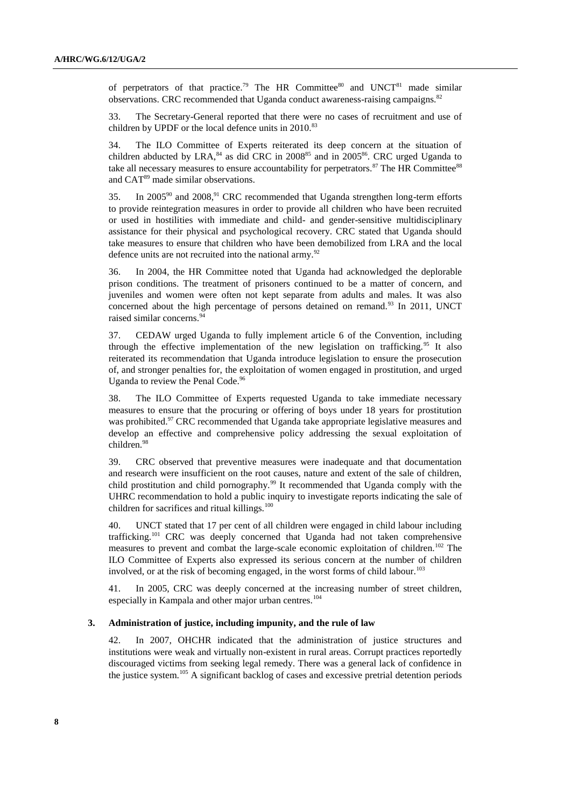of perpetrators of that practice.<sup>79</sup> The HR Committee<sup>80</sup> and UNCT<sup>81</sup> made similar observations. CRC recommended that Uganda conduct awareness-raising campaigns.<sup>82</sup>

33. The Secretary-General reported that there were no cases of recruitment and use of children by UPDF or the local defence units in  $2010$ .<sup>83</sup>

34. The ILO Committee of Experts reiterated its deep concern at the situation of children abducted by LRA, $84$  as did CRC in 2008 $85$  and in 2005 $86$ . CRC urged Uganda to take all necessary measures to ensure accountability for perpetrators. $87$  The HR Committee $88$ and CAT<sup>89</sup> made similar observations.

35. In 2005<sup>90</sup> and 2008,<sup>91</sup> CRC recommended that Uganda strengthen long-term efforts to provide reintegration measures in order to provide all children who have been recruited or used in hostilities with immediate and child- and gender-sensitive multidisciplinary assistance for their physical and psychological recovery. CRC stated that Uganda should take measures to ensure that children who have been demobilized from LRA and the local defence units are not recruited into the national army. $92$ 

36. In 2004, the HR Committee noted that Uganda had acknowledged the deplorable prison conditions. The treatment of prisoners continued to be a matter of concern, and juveniles and women were often not kept separate from adults and males. It was also concerned about the high percentage of persons detained on remand.<sup>93</sup> In 2011, UNCT raised similar concerns. 94

37. CEDAW urged Uganda to fully implement article 6 of the Convention, including through the effective implementation of the new legislation on trafficking.<sup>95</sup> It also reiterated its recommendation that Uganda introduce legislation to ensure the prosecution of, and stronger penalties for, the exploitation of women engaged in prostitution, and urged Uganda to review the Penal Code.<sup>96</sup>

38. The ILO Committee of Experts requested Uganda to take immediate necessary measures to ensure that the procuring or offering of boys under 18 years for prostitution was prohibited.<sup>97</sup> CRC recommended that Uganda take appropriate legislative measures and develop an effective and comprehensive policy addressing the sexual exploitation of children.<sup>98</sup>

39. CRC observed that preventive measures were inadequate and that documentation and research were insufficient on the root causes, nature and extent of the sale of children, child prostitution and child pornography.<sup>99</sup> It recommended that Uganda comply with the UHRC recommendation to hold a public inquiry to investigate reports indicating the sale of children for sacrifices and ritual killings. $100$ 

40. UNCT stated that 17 per cent of all children were engaged in child labour including trafficking.<sup>101</sup> CRC was deeply concerned that Uganda had not taken comprehensive measures to prevent and combat the large-scale economic exploitation of children.<sup>102</sup> The ILO Committee of Experts also expressed its serious concern at the number of children involved, or at the risk of becoming engaged, in the worst forms of child labour.<sup>103</sup>

41. In 2005, CRC was deeply concerned at the increasing number of street children, especially in Kampala and other major urban centres.<sup>104</sup>

#### **3. Administration of justice, including impunity, and the rule of law**

42. In 2007, OHCHR indicated that the administration of justice structures and institutions were weak and virtually non-existent in rural areas. Corrupt practices reportedly discouraged victims from seeking legal remedy. There was a general lack of confidence in the justice system.<sup>105</sup> A significant backlog of cases and excessive pretrial detention periods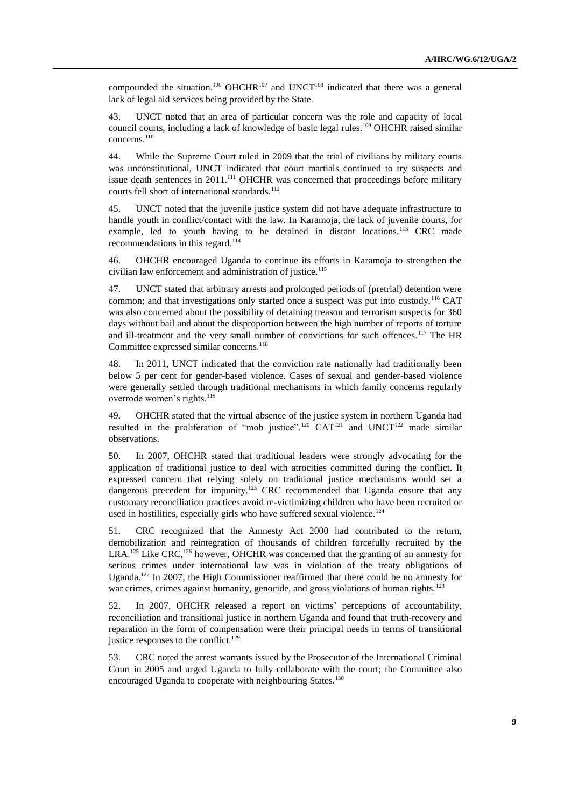compounded the situation.<sup>106</sup> OHCHR<sup>107</sup> and UNCT<sup>108</sup> indicated that there was a general lack of legal aid services being provided by the State.

43. UNCT noted that an area of particular concern was the role and capacity of local council courts, including a lack of knowledge of basic legal rules.<sup>109</sup> OHCHR raised similar concerns.<sup>110</sup>

44. While the Supreme Court ruled in 2009 that the trial of civilians by military courts was unconstitutional, UNCT indicated that court martials continued to try suspects and issue death sentences in 2011.<sup>111</sup> OHCHR was concerned that proceedings before military courts fell short of international standards.<sup>112</sup>

45. UNCT noted that the juvenile justice system did not have adequate infrastructure to handle youth in conflict/contact with the law. In Karamoja, the lack of juvenile courts, for example, led to youth having to be detained in distant locations.<sup>113</sup> CRC made recommendations in this regard.<sup>114</sup>

46. OHCHR encouraged Uganda to continue its efforts in Karamoja to strengthen the civilian law enforcement and administration of justice.<sup>115</sup>

47. UNCT stated that arbitrary arrests and prolonged periods of (pretrial) detention were common; and that investigations only started once a suspect was put into custody.<sup>116</sup> CAT was also concerned about the possibility of detaining treason and terrorism suspects for 360 days without bail and about the disproportion between the high number of reports of torture and ill-treatment and the very small number of convictions for such offences.<sup>117</sup> The HR Committee expressed similar concerns.<sup>118</sup>

48. In 2011, UNCT indicated that the conviction rate nationally had traditionally been below 5 per cent for gender-based violence. Cases of sexual and gender-based violence were generally settled through traditional mechanisms in which family concerns regularly overrode women's rights.<sup>119</sup>

49. OHCHR stated that the virtual absence of the justice system in northern Uganda had resulted in the proliferation of "mob justice".<sup>120</sup> CAT<sup>121</sup> and UNCT<sup>122</sup> made similar observations.

50. In 2007, OHCHR stated that traditional leaders were strongly advocating for the application of traditional justice to deal with atrocities committed during the conflict. It expressed concern that relying solely on traditional justice mechanisms would set a dangerous precedent for impunity.<sup>123</sup> CRC recommended that Uganda ensure that any customary reconciliation practices avoid re-victimizing children who have been recruited or used in hostilities, especially girls who have suffered sexual violence.<sup>124</sup>

51. CRC recognized that the Amnesty Act 2000 had contributed to the return, demobilization and reintegration of thousands of children forcefully recruited by the LRA.<sup>125</sup> Like CRC,<sup>126</sup> however, OHCHR was concerned that the granting of an amnesty for serious crimes under international law was in violation of the treaty obligations of Uganda.<sup>127</sup> In 2007, the High Commissioner reaffirmed that there could be no amnesty for war crimes, crimes against humanity, genocide, and gross violations of human rights.<sup>128</sup>

52. In 2007, OHCHR released a report on victims' perceptions of accountability, reconciliation and transitional justice in northern Uganda and found that truth-recovery and reparation in the form of compensation were their principal needs in terms of transitional justice responses to the conflict.<sup>129</sup>

53. CRC noted the arrest warrants issued by the Prosecutor of the International Criminal Court in 2005 and urged Uganda to fully collaborate with the court; the Committee also encouraged Uganda to cooperate with neighbouring States.<sup>130</sup>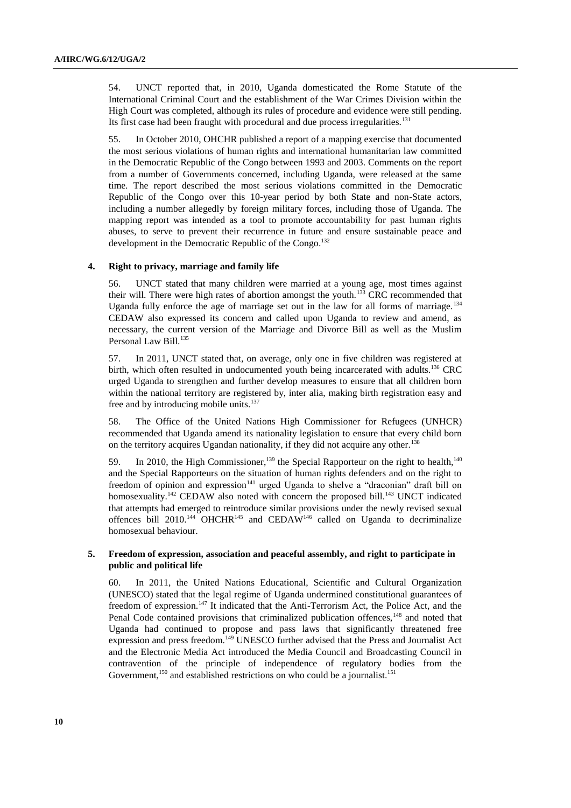54. UNCT reported that, in 2010, Uganda domesticated the Rome Statute of the International Criminal Court and the establishment of the War Crimes Division within the High Court was completed, although its rules of procedure and evidence were still pending. Its first case had been fraught with procedural and due process irregularities.<sup>131</sup>

55. In October 2010, OHCHR published a report of a mapping exercise that documented the most serious violations of human rights and international humanitarian law committed in the Democratic Republic of the Congo between 1993 and 2003. Comments on the report from a number of Governments concerned, including Uganda, were released at the same time. The report described the most serious violations committed in the Democratic Republic of the Congo over this 10-year period by both State and non-State actors, including a number allegedly by foreign military forces, including those of Uganda. The mapping report was intended as a tool to promote accountability for past human rights abuses, to serve to prevent their recurrence in future and ensure sustainable peace and development in the Democratic Republic of the Congo.<sup>132</sup>

#### **4. Right to privacy, marriage and family life**

56. UNCT stated that many children were married at a young age, most times against their will. There were high rates of abortion amongst the youth.<sup>133</sup> CRC recommended that Uganda fully enforce the age of marriage set out in the law for all forms of marriage.<sup>134</sup> CEDAW also expressed its concern and called upon Uganda to review and amend, as necessary, the current version of the Marriage and Divorce Bill as well as the Muslim Personal Law Bill.<sup>135</sup>

57. In 2011, UNCT stated that, on average, only one in five children was registered at birth, which often resulted in undocumented youth being incarcerated with adults.<sup>136</sup> CRC urged Uganda to strengthen and further develop measures to ensure that all children born within the national territory are registered by, inter alia, making birth registration easy and free and by introducing mobile units.<sup>137</sup>

58. The Office of the United Nations High Commissioner for Refugees (UNHCR) recommended that Uganda amend its nationality legislation to ensure that every child born on the territory acquires Ugandan nationality, if they did not acquire any other.<sup>138</sup>

59. In 2010, the High Commissioner,  $139$  the Special Rapporteur on the right to health,  $140$ and the Special Rapporteurs on the situation of human rights defenders and on the right to freedom of opinion and expression<sup>141</sup> urged Uganda to shelve a "draconian" draft bill on homosexuality.<sup>142</sup> CEDAW also noted with concern the proposed bill.<sup>143</sup> UNCT indicated that attempts had emerged to reintroduce similar provisions under the newly revised sexual offences bill  $2010^{144}$  OHCHR<sup>145</sup> and CEDAW<sup>146</sup> called on Uganda to decriminalize homosexual behaviour.

#### **5. Freedom of expression, association and peaceful assembly, and right to participate in public and political life**

60. In 2011, the United Nations Educational, Scientific and Cultural Organization (UNESCO) stated that the legal regime of Uganda undermined constitutional guarantees of freedom of expression.<sup>147</sup> It indicated that the Anti-Terrorism Act, the Police Act, and the Penal Code contained provisions that criminalized publication offences,<sup>148</sup> and noted that Uganda had continued to propose and pass laws that significantly threatened free expression and press freedom.<sup>149</sup> UNESCO further advised that the Press and Journalist Act and the Electronic Media Act introduced the Media Council and Broadcasting Council in contravention of the principle of independence of regulatory bodies from the Government,<sup>150</sup> and established restrictions on who could be a journalist.<sup>151</sup>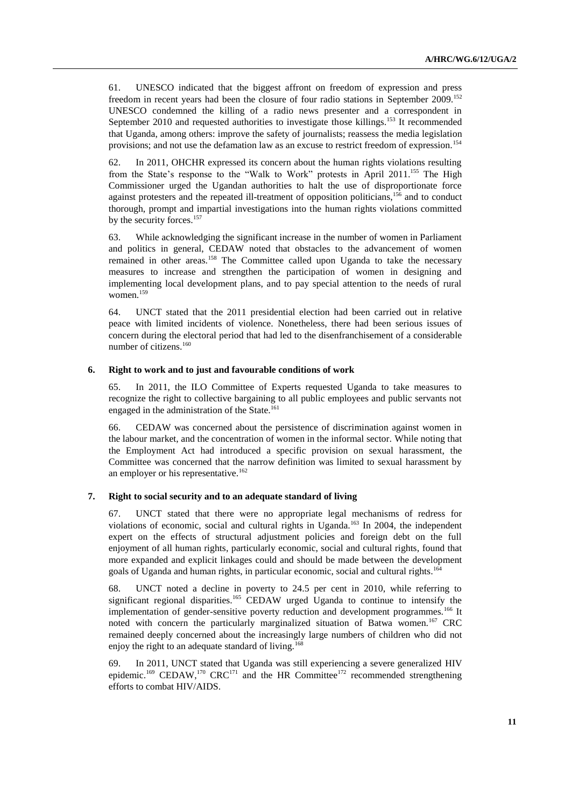61. UNESCO indicated that the biggest affront on freedom of expression and press freedom in recent years had been the closure of four radio stations in September 2009.<sup>152</sup> UNESCO condemned the killing of a radio news presenter and a correspondent in September 2010 and requested authorities to investigate those killings.<sup>153</sup> It recommended that Uganda, among others: improve the safety of journalists; reassess the media legislation provisions; and not use the defamation law as an excuse to restrict freedom of expression.<sup>154</sup>

62. In 2011, OHCHR expressed its concern about the human rights violations resulting from the State's response to the "Walk to Work" protests in April 2011.<sup>155</sup> The High Commissioner urged the Ugandan authorities to halt the use of disproportionate force against protesters and the repeated ill-treatment of opposition politicians,<sup>156</sup> and to conduct thorough, prompt and impartial investigations into the human rights violations committed by the security forces.<sup>157</sup>

63. While acknowledging the significant increase in the number of women in Parliament and politics in general, CEDAW noted that obstacles to the advancement of women remained in other areas.<sup>158</sup> The Committee called upon Uganda to take the necessary measures to increase and strengthen the participation of women in designing and implementing local development plans, and to pay special attention to the needs of rural women.<sup>159</sup>

64. UNCT stated that the 2011 presidential election had been carried out in relative peace with limited incidents of violence. Nonetheless, there had been serious issues of concern during the electoral period that had led to the disenfranchisement of a considerable number of citizens.<sup>160</sup>

#### **6. Right to work and to just and favourable conditions of work**

65. In 2011, the ILO Committee of Experts requested Uganda to take measures to recognize the right to collective bargaining to all public employees and public servants not engaged in the administration of the State.<sup>161</sup>

66. CEDAW was concerned about the persistence of discrimination against women in the labour market, and the concentration of women in the informal sector. While noting that the Employment Act had introduced a specific provision on sexual harassment, the Committee was concerned that the narrow definition was limited to sexual harassment by an employer or his representative.<sup>162</sup>

#### **7. Right to social security and to an adequate standard of living**

67. UNCT stated that there were no appropriate legal mechanisms of redress for violations of economic, social and cultural rights in Uganda.<sup>163</sup> In 2004, the independent expert on the effects of structural adjustment policies and foreign debt on the full enjoyment of all human rights, particularly economic, social and cultural rights, found that more expanded and explicit linkages could and should be made between the development goals of Uganda and human rights, in particular economic, social and cultural rights. 164

68. UNCT noted a decline in poverty to 24.5 per cent in 2010, while referring to significant regional disparities.<sup>165</sup> CEDAW urged Uganda to continue to intensify the implementation of gender-sensitive poverty reduction and development programmes.<sup>166</sup> It noted with concern the particularly marginalized situation of Batwa women.<sup>167</sup> CRC remained deeply concerned about the increasingly large numbers of children who did not enjoy the right to an adequate standard of living.<sup>168</sup>

69. In 2011, UNCT stated that Uganda was still experiencing a severe generalized HIV epidemic.<sup>169</sup> CEDAW,<sup>170</sup> CRC<sup>171</sup> and the HR Committee<sup>172</sup> recommended strengthening efforts to combat HIV/AIDS.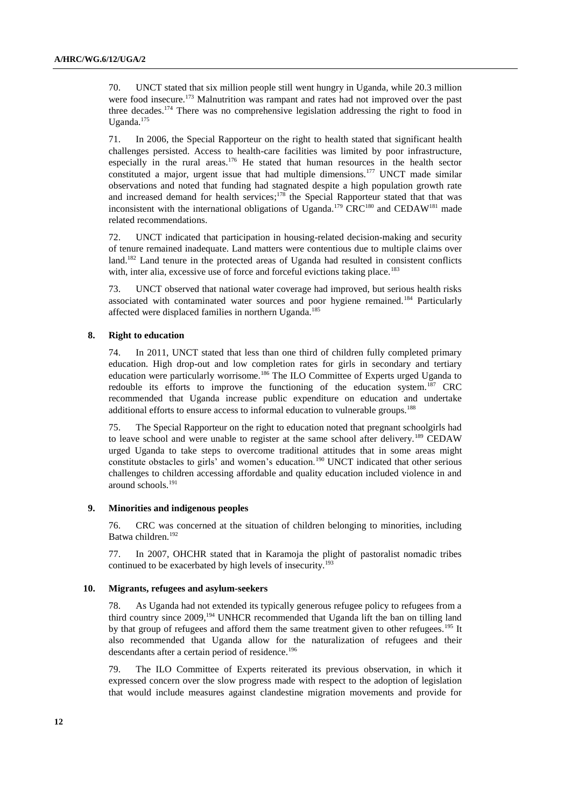70. UNCT stated that six million people still went hungry in Uganda, while 20.3 million were food insecure.<sup>173</sup> Malnutrition was rampant and rates had not improved over the past three decades.<sup>174</sup> There was no comprehensive legislation addressing the right to food in Uganda.<sup>175</sup>

71. In 2006, the Special Rapporteur on the right to health stated that significant health challenges persisted. Access to health-care facilities was limited by poor infrastructure, especially in the rural areas.<sup>176</sup> He stated that human resources in the health sector constituted a major, urgent issue that had multiple dimensions.<sup>177</sup> UNCT made similar observations and noted that funding had stagnated despite a high population growth rate and increased demand for health services;<sup>178</sup> the Special Rapporteur stated that that was inconsistent with the international obligations of Uganda.<sup>179</sup> CRC<sup>180</sup> and CEDAW<sup>181</sup> made related recommendations.

72. UNCT indicated that participation in housing-related decision-making and security of tenure remained inadequate. Land matters were contentious due to multiple claims over land.<sup>182</sup> Land tenure in the protected areas of Uganda had resulted in consistent conflicts with, inter alia, excessive use of force and forceful evictions taking place.<sup>183</sup>

73. UNCT observed that national water coverage had improved, but serious health risks associated with contaminated water sources and poor hygiene remained.<sup>184</sup> Particularly affected were displaced families in northern Uganda.<sup>185</sup>

#### **8. Right to education**

74. In 2011, UNCT stated that less than one third of children fully completed primary education. High drop-out and low completion rates for girls in secondary and tertiary education were particularly worrisome.<sup>186</sup> The ILO Committee of Experts urged Uganda to redouble its efforts to improve the functioning of the education system.<sup>187</sup> CRC recommended that Uganda increase public expenditure on education and undertake additional efforts to ensure access to informal education to vulnerable groups.<sup>188</sup>

75. The Special Rapporteur on the right to education noted that pregnant schoolgirls had to leave school and were unable to register at the same school after delivery.<sup>189</sup> CEDAW urged Uganda to take steps to overcome traditional attitudes that in some areas might constitute obstacles to girls' and women's education.<sup>190</sup> UNCT indicated that other serious challenges to children accessing affordable and quality education included violence in and around schools.<sup>191</sup>

#### **9. Minorities and indigenous peoples**

76. CRC was concerned at the situation of children belonging to minorities, including Batwa children.<sup>192</sup>

77. In 2007, OHCHR stated that in Karamoja the plight of pastoralist nomadic tribes continued to be exacerbated by high levels of insecurity.<sup>193</sup>

#### **10. Migrants, refugees and asylum-seekers**

78. As Uganda had not extended its typically generous refugee policy to refugees from a third country since 2009,<sup>194</sup> UNHCR recommended that Uganda lift the ban on tilling land by that group of refugees and afford them the same treatment given to other refugees.<sup>195</sup> It also recommended that Uganda allow for the naturalization of refugees and their descendants after a certain period of residence.<sup>196</sup>

79. The ILO Committee of Experts reiterated its previous observation, in which it expressed concern over the slow progress made with respect to the adoption of legislation that would include measures against clandestine migration movements and provide for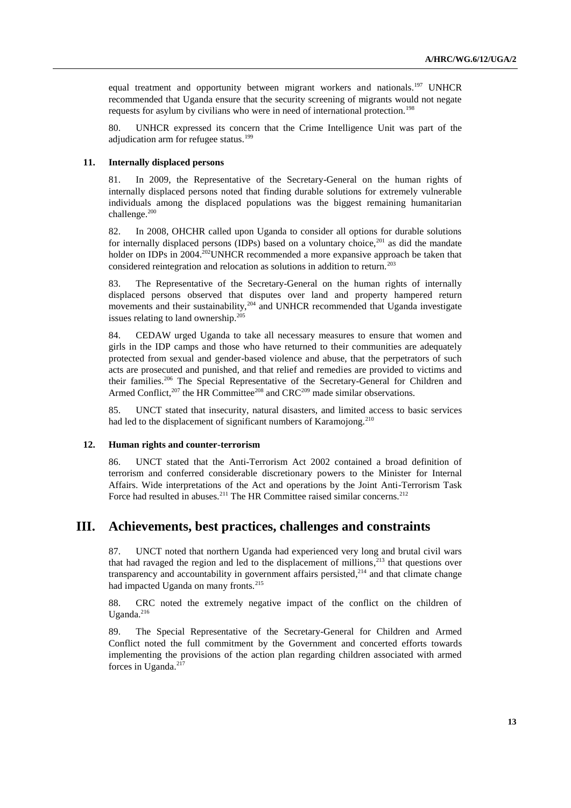equal treatment and opportunity between migrant workers and nationals.<sup>197</sup> UNHCR recommended that Uganda ensure that the security screening of migrants would not negate requests for asylum by civilians who were in need of international protection.<sup>198</sup>

80. UNHCR expressed its concern that the Crime Intelligence Unit was part of the adjudication arm for refugee status.<sup>199</sup>

#### **11. Internally displaced persons**

81. In 2009, the Representative of the Secretary-General on the human rights of internally displaced persons noted that finding durable solutions for extremely vulnerable individuals among the displaced populations was the biggest remaining humanitarian challenge.<sup>200</sup>

82. In 2008, OHCHR called upon Uganda to consider all options for durable solutions for internally displaced persons (IDPs) based on a voluntary choice,<sup>201</sup> as did the mandate holder on IDPs in 2004.<sup>202</sup>UNHCR recommended a more expansive approach be taken that considered reintegration and relocation as solutions in addition to return.<sup>203</sup>

83. The Representative of the Secretary-General on the human rights of internally displaced persons observed that disputes over land and property hampered return movements and their sustainability,<sup>204</sup> and UNHCR recommended that Uganda investigate issues relating to land ownership.<sup>205</sup>

84. CEDAW urged Uganda to take all necessary measures to ensure that women and girls in the IDP camps and those who have returned to their communities are adequately protected from sexual and gender-based violence and abuse, that the perpetrators of such acts are prosecuted and punished, and that relief and remedies are provided to victims and their families.<sup>206</sup> The Special Representative of the Secretary-General for Children and Armed Conflict, $207$  the HR Committee<sup>208</sup> and CRC<sup>209</sup> made similar observations.

85. UNCT stated that insecurity, natural disasters, and limited access to basic services had led to the displacement of significant numbers of Karamojong.<sup>210</sup>

#### **12. Human rights and counter-terrorism**

86. UNCT stated that the Anti-Terrorism Act 2002 contained a broad definition of terrorism and conferred considerable discretionary powers to the Minister for Internal Affairs. Wide interpretations of the Act and operations by the Joint Anti-Terrorism Task Force had resulted in abuses.<sup>211</sup> The HR Committee raised similar concerns.<sup>212</sup>

### **III. Achievements, best practices, challenges and constraints**

87. UNCT noted that northern Uganda had experienced very long and brutal civil wars that had ravaged the region and led to the displacement of millions,<sup>213</sup> that questions over transparency and accountability in government affairs persisted, $2^{14}$  and that climate change had impacted Uganda on many fronts.<sup>215</sup>

88. CRC noted the extremely negative impact of the conflict on the children of Uganda.<sup>216</sup>

89. The Special Representative of the Secretary-General for Children and Armed Conflict noted the full commitment by the Government and concerted efforts towards implementing the provisions of the action plan regarding children associated with armed forces in Uganda.<sup>217</sup>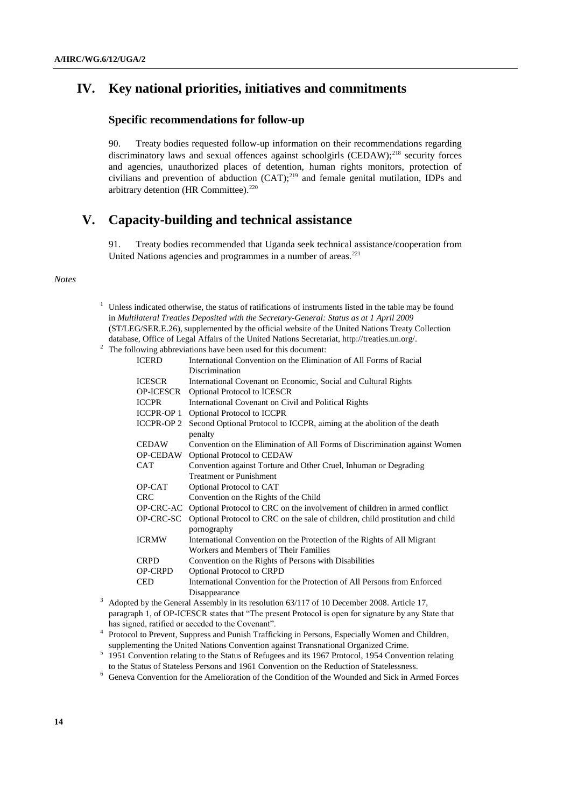## **IV. Key national priorities, initiatives and commitments**

### **Specific recommendations for follow-up**

90. Treaty bodies requested follow-up information on their recommendations regarding discriminatory laws and sexual offences against schoolgirls  $(CEDAW)$ ;<sup>218</sup> security forces and agencies, unauthorized places of detention, human rights monitors, protection of civilians and prevention of abduction  $(CAT)$ ;<sup>219</sup> and female genital mutilation, IDPs and arbitrary detention (HR Committee). $220$ 

## **V. Capacity-building and technical assistance**

91. Treaty bodies recommended that Uganda seek technical assistance/cooperation from United Nations agencies and programmes in a number of areas. $221$ 

#### *Notes*

 $1$  Unless indicated otherwise, the status of ratifications of instruments listed in the table may be found in *Multilateral Treaties Deposited with the Secretary-General: Status as at 1 April 2009* (ST/LEG/SER.E.26), supplemented by the official website of the United Nations Treaty Collection database, Office of Legal Affairs of the United Nations Secretariat, http://treaties.un.org/.

<sup>2</sup> The following abbreviations have been used for this document:

| <b>ICERD</b>      | International Convention on the Elimination of All Forms of Racial                  |
|-------------------|-------------------------------------------------------------------------------------|
|                   | Discrimination                                                                      |
| <b>ICESCR</b>     | International Covenant on Economic, Social and Cultural Rights                      |
| OP-ICESCR         | <b>Optional Protocol to ICESCR</b>                                                  |
| <b>ICCPR</b>      | International Covenant on Civil and Political Rights                                |
| ICCPR-OP 1        | <b>Optional Protocol to ICCPR</b>                                                   |
| <b>ICCPR-OP 2</b> | Second Optional Protocol to ICCPR, aiming at the abolition of the death             |
|                   | penalty                                                                             |
| <b>CEDAW</b>      | Convention on the Elimination of All Forms of Discrimination against Women          |
| OP-CEDAW          | <b>Optional Protocol to CEDAW</b>                                                   |
| <b>CAT</b>        | Convention against Torture and Other Cruel, Inhuman or Degrading                    |
|                   | <b>Treatment or Punishment</b>                                                      |
| OP-CAT            | Optional Protocol to CAT                                                            |
| <b>CRC</b>        | Convention on the Rights of the Child                                               |
|                   | OP-CRC-AC Optional Protocol to CRC on the involvement of children in armed conflict |
| OP-CRC-SC         | Optional Protocol to CRC on the sale of children, child prostitution and child      |
|                   | pornography                                                                         |
| <b>ICRMW</b>      | International Convention on the Protection of the Rights of All Migrant             |
|                   | Workers and Members of Their Families                                               |
| <b>CRPD</b>       | Convention on the Rights of Persons with Disabilities                               |
| <b>OP-CRPD</b>    | <b>Optional Protocol to CRPD</b>                                                    |
| <b>CED</b>        | International Convention for the Protection of All Persons from Enforced            |
|                   | Disappearance                                                                       |
|                   |                                                                                     |

<sup>3</sup> Adopted by the General Assembly in its resolution 63/117 of 10 December 2008. Article 17, paragraph 1, of OP-ICESCR states that "The present Protocol is open for signature by any State that has signed, ratified or acceded to the Covenant".

<sup>4</sup> Protocol to Prevent, Suppress and Punish Trafficking in Persons, Especially Women and Children, supplementing the United Nations Convention against Transnational Organized Crime.

- <sup>5</sup> 1951 Convention relating to the Status of Refugees and its 1967 Protocol, 1954 Convention relating to the Status of Stateless Persons and 1961 Convention on the Reduction of Statelessness.
- <sup>6</sup> Geneva Convention for the Amelioration of the Condition of the Wounded and Sick in Armed Forces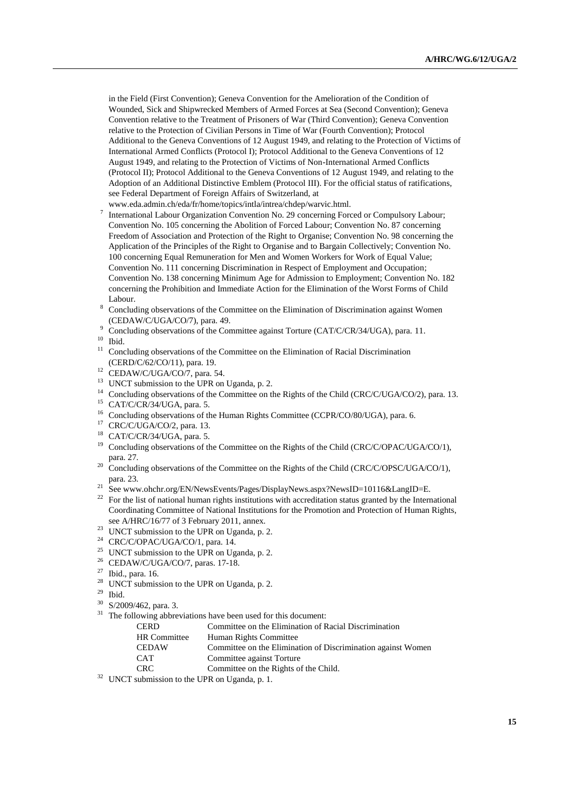in the Field (First Convention); Geneva Convention for the Amelioration of the Condition of Wounded, Sick and Shipwrecked Members of Armed Forces at Sea (Second Convention); Geneva Convention relative to the Treatment of Prisoners of War (Third Convention); Geneva Convention relative to the Protection of Civilian Persons in Time of War (Fourth Convention); Protocol Additional to the Geneva Conventions of 12 August 1949, and relating to the Protection of Victims of International Armed Conflicts (Protocol I); Protocol Additional to the Geneva Conventions of 12 August 1949, and relating to the Protection of Victims of Non-International Armed Conflicts (Protocol II); Protocol Additional to the Geneva Conventions of 12 August 1949, and relating to the Adoption of an Additional Distinctive Emblem (Protocol III). For the official status of ratifications, see Federal Department of Foreign Affairs of Switzerland, at www.eda.admin.ch/eda/fr/home/topics/intla/intrea/chdep/warvic.html.

- 7 International Labour Organization Convention No. 29 concerning Forced or Compulsory Labour; Convention No. 105 concerning the Abolition of Forced Labour; Convention No. 87 concerning Freedom of Association and Protection of the Right to Organise; Convention No. 98 concerning the Application of the Principles of the Right to Organise and to Bargain Collectively; Convention No. 100 concerning Equal Remuneration for Men and Women Workers for Work of Equal Value; Convention No. 111 concerning Discrimination in Respect of Employment and Occupation; Convention No. 138 concerning Minimum Age for Admission to Employment; Convention No. 182 concerning the Prohibition and Immediate Action for the Elimination of the Worst Forms of Child Labour.
- <sup>8</sup> Concluding observations of the Committee on the Elimination of Discrimination against Women (CEDAW/C/UGA/CO/7), para. 49.
- <sup>9</sup> Concluding observations of the Committee against Torture (CAT/C/CR/34/UGA), para. 11.

 $10$  Ibid.

- $11$  Concluding observations of the Committee on the Elimination of Racial Discrimination (CERD/C/62/CO/11), para. 19.
- <sup>12</sup> CEDAW/C/UGA/CO/7, para. 54.
- $13$  UNCT submission to the UPR on Uganda, p. 2.
- <sup>14</sup> Concluding observations of the Committee on the Rights of the Child (CRC/C/UGA/CO/2), para. 13.<br><sup>15</sup> CAT/C/CD/24/UCA gase 5
- CAT/C/CR/34/UGA, para. 5.
- <sup>16</sup> Concluding observations of the Human Rights Committee (CCPR/CO/80/UGA), para. 6.
- <sup>17</sup> CRC/C/UGA/CO/2, para. 13.
- <sup>18</sup> CAT/C/CR/34/UGA, para. 5.
- <sup>19</sup> Concluding observations of the Committee on the Rights of the Child (CRC/C/OPAC/UGA/CO/1), para. 27.
- <sup>20</sup> Concluding observations of the Committee on the Rights of the Child (CRC/C/OPSC/UGA/CO/1), para. 23.
- <sup>21</sup> See www.ohchr.org/EN/NewsEvents/Pages/DisplayNews.aspx?NewsID=10116&LangID=E.
- <sup>22</sup> For the list of national human rights institutions with accreditation status granted by the International Coordinating Committee of National Institutions for the Promotion and Protection of Human Rights, see A/HRC/16/77 of 3 February 2011, annex.
- $23$  UNCT submission to the UPR on Uganda, p. 2.
- <sup>24</sup> CRC/C/OPAC/UGA/CO/1, para. 14.
- <sup>25</sup> UNCT submission to the UPR on Uganda, p. 2.
- <sup>26</sup> CEDAW/C/UGA/CO/7, paras. 17-18.
- <sup>27</sup> Ibid., para. 16.
- <sup>28</sup> UNCT submission to the UPR on Uganda, p. 2.<br><sup>29</sup> Ibid
- Ibid.
- <sup>30</sup> S/2009/462, para. 3.
- $31$  The following abbreviations have been used for this document:

| <b>CERD</b>         | Committee on the Elimination of Racial Discrimination        |
|---------------------|--------------------------------------------------------------|
| <b>HR</b> Committee | Human Rights Committee                                       |
| <b>CEDAW</b>        | Committee on the Elimination of Discrimination against Women |
| <b>CAT</b>          | Committee against Torture                                    |
| CRC.                | Committee on the Rights of the Child.                        |
|                     |                                                              |

 $32$  UNCT submission to the UPR on Uganda, p. 1.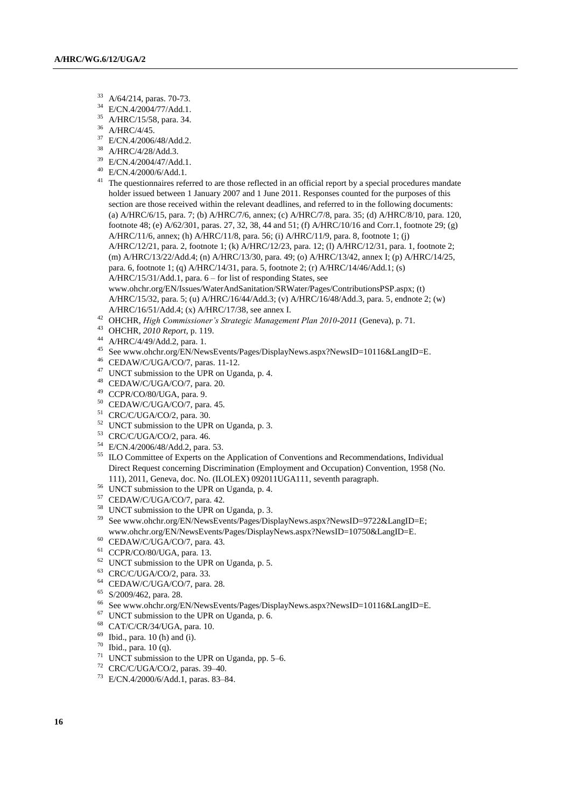- $^{33}$  A/64/214, paras. 70-73.
- $^{34}$  E/CN.4/2004/77/Add.1.
- $^{35}$  A/HRC/15/58, para. 34.
- A/HRC/4/45.
- $^{37}$  E/CN.4/2006/48/Add.2.
- A/HRC/4/28/Add.3.
- <sup>39</sup> E/CN.4/2004/47/Add.1.
- <sup>40</sup> E/CN.4/2000/6/Add.1.
- <sup>41</sup> The questionnaires referred to are those reflected in an official report by a special procedures mandate holder issued between 1 January 2007 and 1 June 2011. Responses counted for the purposes of this section are those received within the relevant deadlines, and referred to in the following documents: (a) A/HRC/6/15, para. 7; (b) A/HRC/7/6, annex; (c) A/HRC/7/8, para. 35; (d) A/HRC/8/10, para. 120, footnote 48; (e) A/62/301, paras. 27, 32, 38, 44 and 51; (f) A/HRC/10/16 and Corr.1, footnote 29; (g) A/HRC/11/6, annex; (h) A/HRC/11/8, para. 56; (i) A/HRC/11/9, para. 8, footnote 1; (j) A/HRC/12/21, para. 2, footnote 1; (k) A/HRC/12/23, para. 12; (l) A/HRC/12/31, para. 1, footnote 2; (m) A/HRC/13/22/Add.4; (n) A/HRC/13/30, para. 49; (o) A/HRC/13/42, annex I; (p) A/HRC/14/25, para. 6, footnote 1; (q) A/HRC/14/31, para. 5, footnote 2; (r) A/HRC/14/46/Add.1; (s) A/HRC/15/31/Add.1, para. 6 – for list of responding States, see www.ohchr.org/EN/Issues/WaterAndSanitation/SRWater/Pages/ContributionsPSP.aspx; (t) A/HRC/15/32, para. 5; (u) A/HRC/16/44/Add.3; (v) A/HRC/16/48/Add.3, para. 5, endnote 2; (w) A/HRC/16/51/Add.4; (x) A/HRC/17/38, see annex I.
- <sup>42</sup> OHCHR, *High Commissioner's Strategic Management Plan 2010-2011* (Geneva), p. 71.
- <sup>43</sup> OHCHR, *2010 Report*, p. 119.
- <sup>44</sup> A/HRC/4/49/Add.2, para. 1.
- <sup>45</sup> [See www.ohchr.org/EN/NewsEvents/Pages/DisplayNews.aspx?NewsID=10116&LangID=E.](http://www.ohchr.org/EN/NewsEvents/Pages/DisplayNews.aspx?NewsID=10116&LangID=E)
- <sup>46</sup> CEDAW/C/UGA/CO/7, paras. 11-12.
- <sup>47</sup> UNCT submission to the UPR on Uganda, p. 4.
- <sup>48</sup> CEDAW/C/UGA/CO/7, para. 20.
- <sup>49</sup> CCPR/CO/80/UGA, para. 9.
- <sup>50</sup> CEDAW/C/UGA/CO/7, para. 45.
- <sup>51</sup> CRC/C/UGA/CO/2, para. 30.
- <sup>52</sup> UNCT submission to the UPR on Uganda, p. 3.
- <sup>53</sup> CRC/C/UGA/CO/2, para. 46.
- <sup>54</sup> E/CN.4/2006/48/Add.2, para. 53.
- <sup>55</sup> ILO Committee of Experts on the Application of Conventions and Recommendations, Individual Direct Request concerning Discrimination (Employment and Occupation) Convention, 1958 (No. 111), 2011, Geneva, doc. No. (ILOLEX) 092011UGA111, seventh paragraph.
- <sup>56</sup> UNCT submission to the UPR on Uganda, p. 4.
- <sup>57</sup> CEDAW/C/UGA/CO/7, para. 42.
- <sup>58</sup> UNCT submission to the UPR on Uganda, p. 3.
- <sup>59</sup> [See www.ohchr.org/EN/NewsEvents/Pages/DisplayNews.aspx?NewsID=9722&LangID=E;](http://www.ohchr.org/EN/NewsEvents/Pages/DisplayNews.aspx?NewsID=9722&LangID=E) www.ohchr.org/EN/NewsEvents/Pages/DisplayNews.aspx?NewsID=10750&LangID=E.
- <sup>60</sup> CEDAW/C/UGA/CO/7, para. 43.
- <sup>61</sup> CCPR/CO/80/UGA, para. 13.
- <sup>62</sup> UNCT submission to the UPR on Uganda, p. 5.
- <sup>63</sup> CRC/C/UGA/CO/2, para. 33.
- <sup>64</sup> CEDAW/C/UGA/CO/7, para. 28.
- <sup>65</sup> S/2009/462, para. 28.
- <sup>66</sup> See www.ohchr.org/EN/NewsEvents/Pages/DisplayNews.aspx?NewsID=10116&LangID=E.
- <sup>67</sup> UNCT submission to the UPR on Uganda, p. 6.
- <sup>68</sup> CAT/C/CR/34/UGA, para. 10.
- $69$  Ibid., para. 10 (h) and (i).
- $70$  Ibid., para. 10 (q).
- <sup>71</sup> UNCT submission to the UPR on Uganda, pp.  $5-6$ .
- <sup>72</sup> CRC/C/UGA/CO/2, paras. 39–40.
- <sup>73</sup> E/CN.4/2000/6/Add.1, paras. 83–84.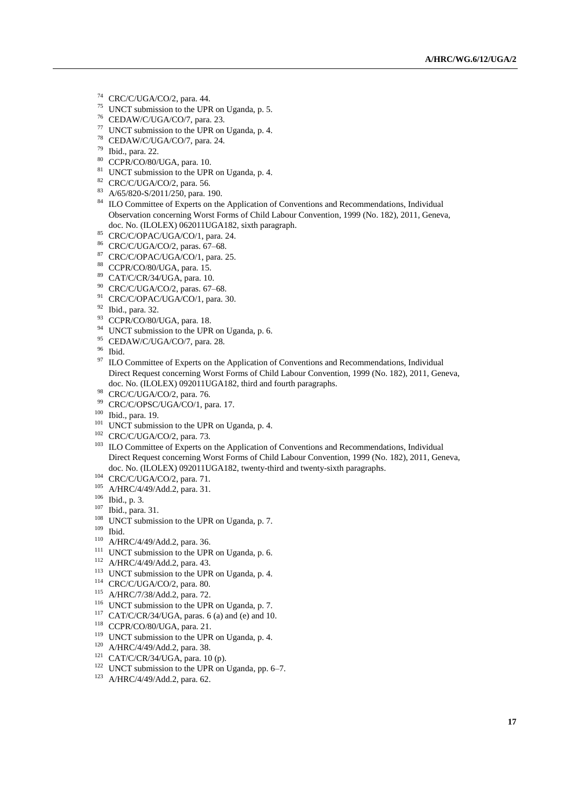- CRC/C/UGA/CO/2, para. 44.
- UNCT submission to the UPR on Uganda, p. 5.
- CEDAW/C/UGA/CO/7, para. 23.
- UNCT submission to the UPR on Uganda, p. 4.
- CEDAW/C/UGA/CO/7, para. 24.
- Ibid., para. 22.
- CCPR/CO/80/UGA, para. 10.
- <sup>81</sup> UNCT submission to the UPR on Uganda, p. 4.
- CRC/C/UGA/CO/2, para. 56.
- A/65/820-S/2011/250, para. 190.
- <sup>84</sup> ILO Committee of Experts on the Application of Conventions and Recommendations, Individual Observation concerning Worst Forms of Child Labour Convention, 1999 (No. 182), 2011, Geneva, doc. No. (ILOLEX) 062011UGA182, sixth paragraph.
- CRC/C/OPAC/UGA/CO/1, para. 24.
- CRC/C/UGA/CO/2, paras. 67–68.
- CRC/C/OPAC/UGA/CO/1, para. 25.
- CCPR/CO/80/UGA, para. 15.
- CAT/C/CR/34/UGA, para. 10.
- CRC/C/UGA/CO/2, paras. 67–68.
- <sup>91</sup> CRC/C/OPAC/UGA/CO/1, para. 30.
- Ibid., para. 32.
- CCPR/CO/80/UGA, para. 18.
- <sup>94</sup> UNCT submission to the UPR on Uganda, p. 6.
- CEDAW/C/UGA/CO/7, para. 28.
- Ibid.
- ILO Committee of Experts on the Application of Conventions and Recommendations, Individual Direct Request concerning Worst Forms of Child Labour Convention, 1999 (No. 182), 2011, Geneva, doc. No. (ILOLEX) 092011UGA182, third and fourth paragraphs.
- $^{98}$  CRC/C/UGA/CO/2, para. 76.
- CRC/C/OPSC/UGA/CO/1, para. 17.
- Ibid., para. 19.
- UNCT submission to the UPR on Uganda, p. 4.
- CRC/C/UGA/CO/2, para. 73.
- <sup>103</sup> ILO Committee of Experts on the Application of Conventions and Recommendations, Individual Direct Request concerning Worst Forms of Child Labour Convention, 1999 (No. 182), 2011, Geneva, doc. No. (ILOLEX) 092011UGA182, twenty-third and twenty-sixth paragraphs.
- CRC/C/UGA/CO/2, para. 71.
- A/HRC/4/49/Add.2, para. 31.
- Ibid., p. 3.
- Ibid., para. 31.
- <sup>108</sup> UNCT submission to the UPR on Uganda, p. 7.
- Ibid.
- A/HRC/4/49/Add.2, para. 36.
- <sup>111</sup> UNCT submission to the UPR on Uganda, p. 6.
- A/HRC/4/49/Add.2, para. 43.
- UNCT submission to the UPR on Uganda, p. 4.
- CRC/C/UGA/CO/2, para. 80.
- A/HRC/7/38/Add.2, para. 72.
- <sup>116</sup> UNCT submission to the UPR on Uganda, p. 7.
- CAT/C/CR/34/UGA, paras. 6 (a) and (e) and 10.
- CCPR/CO/80/UGA, para. 21.
- UNCT submission to the UPR on Uganda, p. 4.
- A/HRC/4/49/Add.2, para. 38.
- CAT/C/CR/34/UGA, para. 10 (p).
- <sup>122</sup> UNCT submission to the UPR on Uganda, pp. 6–7.
- A/HRC/4/49/Add.2, para. 62.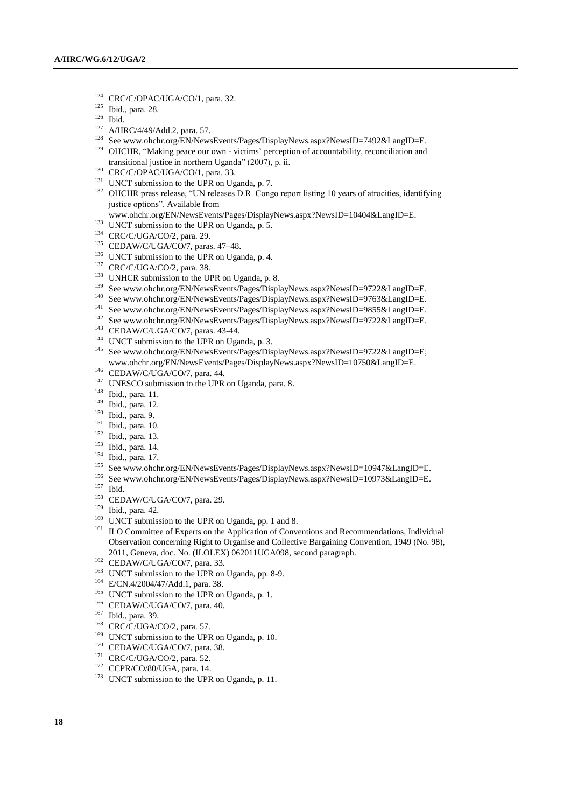- <sup>124</sup> CRC/C/OPAC/UGA/CO/1, para. 32.
- <sup>125</sup> Ibid., para. 28.
- $\frac{126}{127}$  Ibid.
- <sup>127</sup> A/HRC/4/49/Add.2, para. 57.
- See www.ohchr.org/EN/NewsEvents/Pages/DisplayNews.aspx?NewsID=7492&LangID=E.
- <sup>129</sup> OHCHR, "Making peace our own victims' perception of accountability, reconciliation and transitional justice in northern Uganda" (2007), p. ii.
- <sup>130</sup> CRC/C/OPAC/UGA/CO/1, para. 33.
- <sup>131</sup> UNCT submission to the UPR on Uganda, p. 7.
- <sup>132</sup> OHCHR press release, "UN releases D.R. Congo report listing 10 years of atrocities, identifying justice options". Available from
- www.ohchr.org/EN/NewsEvents/Pages/DisplayNews.aspx?NewsID=10404&LangID=E.
- <sup>133</sup> UNCT submission to the UPR on Uganda, p. 5.
- <sup>134</sup> CRC/C/UGA/CO/2, para. 29.
- <sup>135</sup> CEDAW/C/UGA/CO/7, paras. 47–48.
- <sup>136</sup> UNCT submission to the UPR on Uganda, p. 4.
- <sup>137</sup> CRC/C/UGA/CO/2, para. 38.
- <sup>138</sup> UNHCR submission to the UPR on Uganda, p. 8.
- <sup>139</sup> See www.ohchr.org/EN/NewsEvents/Pages/DisplayNews.aspx?NewsID=9722&LangID=E.
- <sup>140</sup> See www.ohchr.org/EN/NewsEvents/Pages/DisplayNews.aspx?NewsID=9763&LangID=E.
- <sup>141</sup> See www.ohchr.org/EN/NewsEvents/Pages/DisplayNews.aspx?NewsID=9855&LangID=E.
- <sup>142</sup> See www.ohchr.org/EN/NewsEvents/Pages/DisplayNews.aspx?NewsID=9722&LangID=E.
- <sup>143</sup> CEDAW/C/UGA/CO/7, paras. 43-44.
- <sup>144</sup> UNCT submission to the UPR on Uganda, p. 3.
- <sup>145</sup> [See www.ohchr.org/EN/NewsEvents/Pages/DisplayNews.aspx?NewsID=9722&LangID=E;](http://www.ohchr.org/EN/NewsEvents/Pages/DisplayNews.aspx?NewsID=9722&LangID=E) www.ohchr.org/EN/NewsEvents/Pages/DisplayNews.aspx?NewsID=10750&LangID=E.
- <sup>146</sup> CEDAW/C/UGA/CO/7, para. 44.
- <sup>147</sup> UNESCO submission to the UPR on Uganda, para. 8.
- <sup>148</sup> Ibid., para. 11.
- <sup>149</sup> Ibid., para. 12.
- <sup>150</sup> Ibid., para. 9.
- <sup>151</sup> Ibid., para. 10.
- <sup>152</sup> Ibid., para. 13.
- <sup>153</sup> Ibid., para. 14.
- <sup>154</sup> Ibid., para. 17.
- <sup>155</sup> See www.ohchr.org/EN/NewsEvents/Pages/DisplayNews.aspx?NewsID=10947&LangID=E.
- <sup>156</sup> See www.ohchr.org/EN/NewsEvents/Pages/DisplayNews.aspx?NewsID=10973&LangID=E.
- <sup>157</sup> Ibid.
- <sup>158</sup> CEDAW/C/UGA/CO/7, para. 29.
- <sup>159</sup> Ibid., para. 42.
- <sup>160</sup> UNCT submission to the UPR on Uganda, pp. 1 and 8.
- <sup>161</sup> ILO Committee of Experts on the Application of Conventions and Recommendations, Individual Observation concerning Right to Organise and Collective Bargaining Convention, 1949 (No. 98), 2011, Geneva, doc. No. (ILOLEX) 062011UGA098, second paragraph.
- <sup>162</sup> CEDAW/C/UGA/CO/7, para. 33.
- <sup>163</sup> UNCT submission to the UPR on Uganda, pp. 8-9.
- <sup>164</sup> E/CN.4/2004/47/Add.1, para. 38.
- <sup>165</sup> UNCT submission to the UPR on Uganda, p. 1.
- <sup>166</sup> CEDAW/C/UGA/CO/7, para. 40.
- <sup>167</sup> Ibid., para. 39.
- <sup>168</sup> CRC/C/UGA/CO/2, para. 57.
- $169$  UNCT submission to the UPR on Uganda, p. 10.
- <sup>170</sup> CEDAW/C/UGA/CO/7, para. 38.
- <sup>171</sup> CRC/C/UGA/CO/2, para. 52.
- <sup>172</sup> CCPR/CO/80/UGA, para. 14.
- <sup>173</sup> UNCT submission to the UPR on Uganda, p. 11.